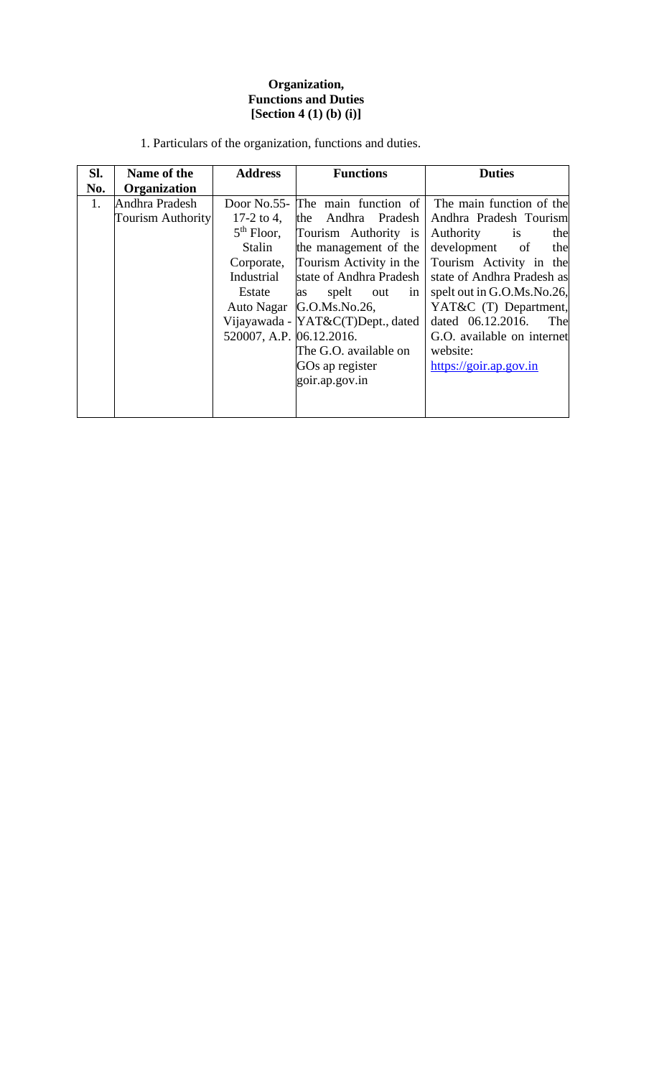### **Organization, Functions and Duties [Section 4 (1) (b) (i)]**

| SI. | Name of the              | <b>Address</b>           | <b>Functions</b>                   | <b>Duties</b>              |
|-----|--------------------------|--------------------------|------------------------------------|----------------------------|
| No. | Organization             |                          |                                    |                            |
| 1.  | Andhra Pradesh           |                          | Door No.55- The main function of   | The main function of the   |
|     | <b>Tourism Authority</b> | 17-2 to 4,               | the Andhra Pradesh                 | Andhra Pradesh Tourism     |
|     |                          | $5th$ Floor,             | Tourism Authority is               | Authority<br>is<br>the     |
|     |                          | Stalin                   | the management of the              | development of<br>the      |
|     |                          |                          | Corporate, Tourism Activity in the | Tourism Activity in the    |
|     |                          | Industrial               | state of Andhra Pradesh            | state of Andhra Pradesh as |
|     |                          | Estate                   | spelt<br>out<br>in<br>as           | spelt out in G.O.Ms.No.26, |
|     |                          |                          | Auto Nagar G.O.Ms.No.26,           | YAT&C (T) Department,      |
|     |                          |                          | Vijayawada - YAT&C(T)Dept., dated  | dated 06.12.2016.<br>The   |
|     |                          | 520007, A.P. 06.12.2016. |                                    | G.O. available on internet |
|     |                          |                          | The G.O. available on              | website:                   |
|     |                          |                          | GOs ap register                    | https://goir.ap.gov.in     |
|     |                          |                          | goir.ap.gov.in                     |                            |
|     |                          |                          |                                    |                            |
|     |                          |                          |                                    |                            |

1. Particulars of the organization, functions and duties.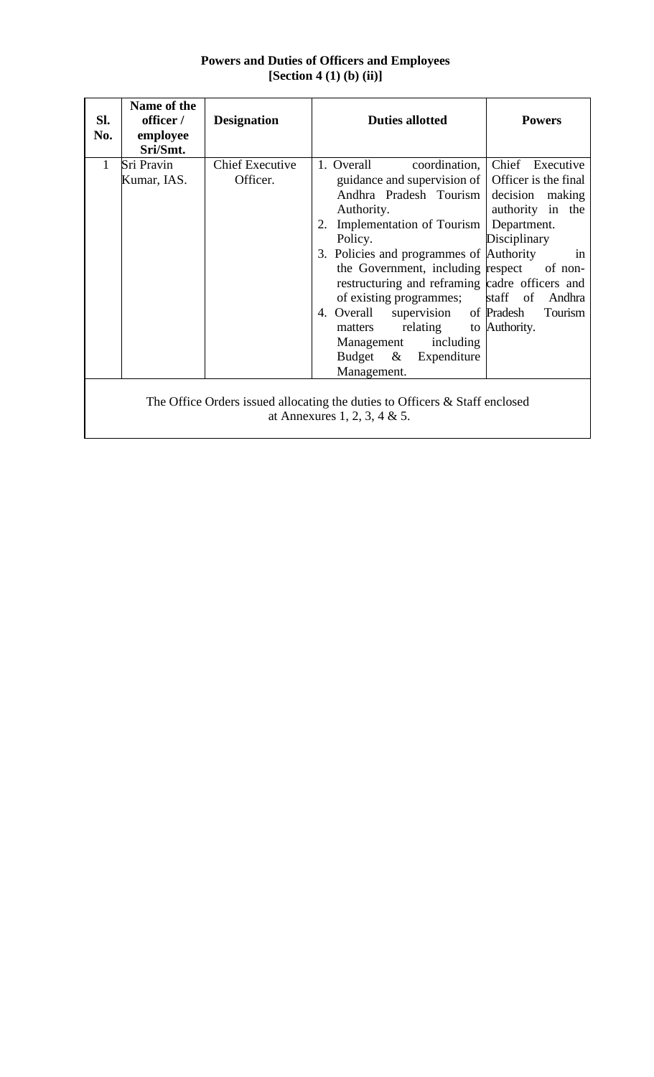| Sl.<br>No.   | Name of the<br>officer /<br>employee<br>Sri/Smt.                                                            | <b>Designation</b>                 | <b>Duties allotted</b>                                                                                                                                                                                                                                                                                                                                                                                                                                   | <b>Powers</b>                                                                                                                                        |  |  |
|--------------|-------------------------------------------------------------------------------------------------------------|------------------------------------|----------------------------------------------------------------------------------------------------------------------------------------------------------------------------------------------------------------------------------------------------------------------------------------------------------------------------------------------------------------------------------------------------------------------------------------------------------|------------------------------------------------------------------------------------------------------------------------------------------------------|--|--|
| $\mathbf{1}$ | Sri Pravin<br>Kumar, IAS.                                                                                   | <b>Chief Executive</b><br>Officer. | 1. Overall<br>coordination,<br>guidance and supervision of<br>Andhra Pradesh Tourism<br>Authority.<br>2. Implementation of Tourism<br>Policy.<br>3. Policies and programmes of Authority<br>the Government, including respect of non-<br>restructuring and reframing cadre officers and<br>of existing programmes;<br>4. Overall supervision of Pradesh<br>matters relating to Authority.<br>Management including<br>Budget & Expenditure<br>Management. | Chief Executive<br>Officer is the final<br>decision<br>making<br>authority in the<br>Department.<br>Disciplinary<br>in<br>staff of Andhra<br>Tourism |  |  |
|              | The Office Orders issued allocating the duties to Officers & Staff enclosed<br>at Annexures 1, 2, 3, 4 & 5. |                                    |                                                                                                                                                                                                                                                                                                                                                                                                                                                          |                                                                                                                                                      |  |  |

# **Powers and Duties of Officers and Employees [Section 4 (1) (b) (ii)]**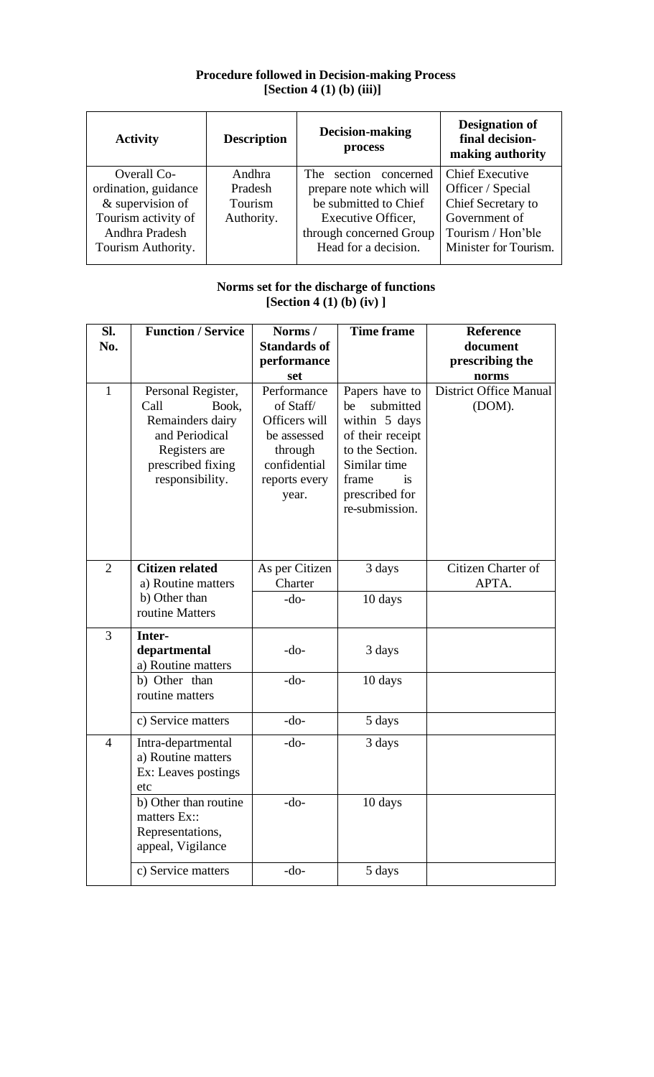### **Procedure followed in Decision-making Process [Section 4 (1) (b) (iii)]**

| <b>Activity</b>      | <b>Description</b> | Decision-making<br>process | <b>Designation of</b><br>final decision-<br>making authority |
|----------------------|--------------------|----------------------------|--------------------------------------------------------------|
| Overall Co-          | Andhra             | concerned<br>The section   | <b>Chief Executive</b>                                       |
| ordination, guidance | Pradesh            | prepare note which will    | Officer / Special                                            |
| $&$ supervision of   | Tourism            | be submitted to Chief      | Chief Secretary to                                           |
| Tourism activity of  | Authority.         | Executive Officer,         | Government of                                                |
| Andhra Pradesh       |                    | through concerned Group    | Tourism / Hon'ble                                            |
| Tourism Authority.   |                    | Head for a decision.       | Minister for Tourism.                                        |
|                      |                    |                            |                                                              |

### **Norms set for the discharge of functions [Section 4 (1) (b) (iv) ]**

| Sl.            | <b>Function / Service</b>                                                                                                          | Norms/                                                                                                        | <b>Time frame</b>                                                                                                                                                   | <b>Reference</b>                        |
|----------------|------------------------------------------------------------------------------------------------------------------------------------|---------------------------------------------------------------------------------------------------------------|---------------------------------------------------------------------------------------------------------------------------------------------------------------------|-----------------------------------------|
| No.            |                                                                                                                                    | <b>Standards of</b>                                                                                           |                                                                                                                                                                     | document                                |
|                |                                                                                                                                    | performance                                                                                                   |                                                                                                                                                                     | prescribing the                         |
|                |                                                                                                                                    | set                                                                                                           |                                                                                                                                                                     | norms                                   |
| $\mathbf{1}$   | Personal Register,<br>Call<br>Book,<br>Remainders dairy<br>and Periodical<br>Registers are<br>prescribed fixing<br>responsibility. | Performance<br>of Staff/<br>Officers will<br>be assessed<br>through<br>confidential<br>reports every<br>year. | Papers have to<br>submitted<br>be<br>within 5 days<br>of their receipt<br>to the Section.<br>Similar time<br>frame<br><i>is</i><br>prescribed for<br>re-submission. | <b>District Office Manual</b><br>(DOM). |
| $\overline{2}$ | <b>Citizen related</b><br>a) Routine matters                                                                                       | As per Citizen<br>Charter                                                                                     | 3 days                                                                                                                                                              | Citizen Charter of<br>APTA.             |
|                | b) Other than<br>routine Matters                                                                                                   | $-do-$                                                                                                        | 10 days                                                                                                                                                             |                                         |
| 3              | Inter-<br>departmental<br>a) Routine matters                                                                                       | $-do-$                                                                                                        | 3 days                                                                                                                                                              |                                         |
|                | b) Other than<br>routine matters                                                                                                   | $-do-$                                                                                                        | 10 days                                                                                                                                                             |                                         |
|                | c) Service matters                                                                                                                 | $-do-$                                                                                                        | 5 days                                                                                                                                                              |                                         |
| $\overline{4}$ | Intra-departmental<br>a) Routine matters<br>Ex: Leaves postings<br>etc                                                             | $-do-$                                                                                                        | 3 days                                                                                                                                                              |                                         |
|                | b) Other than routine<br>matters Ex::<br>Representations,<br>appeal, Vigilance                                                     | -do-                                                                                                          | 10 days                                                                                                                                                             |                                         |
|                | c) Service matters                                                                                                                 | $-do-$                                                                                                        | 5 days                                                                                                                                                              |                                         |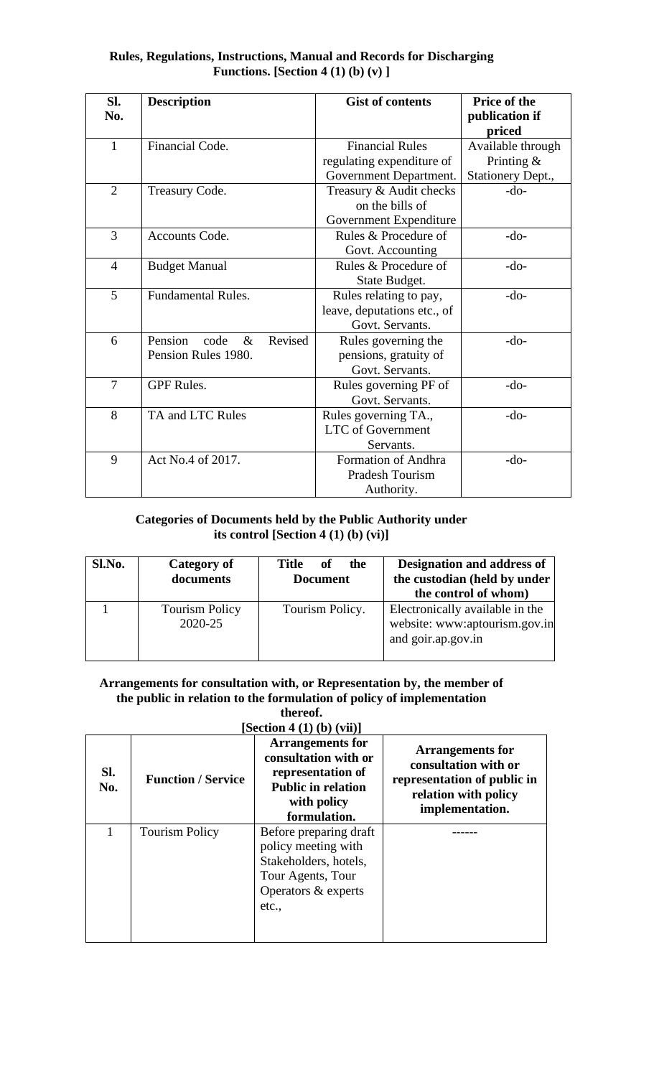| <b>Rules, Regulations, Instructions, Manual and Records for Discharging</b> |
|-----------------------------------------------------------------------------|
| <b>Functions.</b> [Section 4 (1) (b) (v) ]                                  |

| SI.<br>No.     | <b>Description</b>                 | <b>Gist of contents</b>     | <b>Price of the</b><br>publication if<br>priced |
|----------------|------------------------------------|-----------------------------|-------------------------------------------------|
| $\mathbf{1}$   | Financial Code.                    | <b>Financial Rules</b>      | Available through                               |
|                |                                    | regulating expenditure of   | Printing $&$                                    |
|                |                                    | Government Department.      | Stationery Dept.,                               |
| $\overline{2}$ | Treasury Code.                     | Treasury & Audit checks     | $-do-$                                          |
|                |                                    | on the bills of             |                                                 |
|                |                                    | Government Expenditure      |                                                 |
| 3              | Accounts Code.                     | Rules & Procedure of        | $-do-$                                          |
|                |                                    | Govt. Accounting            |                                                 |
| $\overline{4}$ | <b>Budget Manual</b>               | Rules & Procedure of        | $-do-$                                          |
|                |                                    | State Budget.               |                                                 |
| 5              | <b>Fundamental Rules.</b>          | Rules relating to pay,      | $-do-$                                          |
|                |                                    | leave, deputations etc., of |                                                 |
|                |                                    | Govt. Servants.             |                                                 |
| 6              | Pension<br>Revised<br>$\&$<br>code | Rules governing the         | $-do-$                                          |
|                | Pension Rules 1980.                | pensions, gratuity of       |                                                 |
|                |                                    | Govt. Servants.             |                                                 |
| $\overline{7}$ | <b>GPF Rules.</b>                  | Rules governing PF of       | $-do-$                                          |
|                |                                    | Govt. Servants.             |                                                 |
| 8              | TA and LTC Rules                   | Rules governing TA.,        | $-do-$                                          |
|                |                                    | <b>LTC</b> of Government    |                                                 |
|                |                                    | Servants.                   |                                                 |
| 9              | Act No.4 of 2017.                  | Formation of Andhra         | $-do-$                                          |
|                |                                    | Pradesh Tourism             |                                                 |
|                |                                    | Authority.                  |                                                 |

## **Categories of Documents held by the Public Authority under its control [Section 4 (1) (b) (vi)]**

| Sl.No. | Category of<br>documents         | Title<br>of<br>the<br><b>Document</b> | Designation and address of<br>the custodian (held by under<br>the control of whom)     |
|--------|----------------------------------|---------------------------------------|----------------------------------------------------------------------------------------|
|        | <b>Tourism Policy</b><br>2020-25 | Tourism Policy.                       | Electronically available in the<br>website: www:aptourism.gov.in<br>and goir.ap.gov.in |

#### **Arrangements for consultation with, or Representation by, the member of the public in relation to the formulation of policy of implementation thereof.**

| [Section 4 (1) (b) (vii)] |                                                                                                                                  |                                                                                                                           |  |  |  |  |
|---------------------------|----------------------------------------------------------------------------------------------------------------------------------|---------------------------------------------------------------------------------------------------------------------------|--|--|--|--|
| <b>Function / Service</b> | <b>Arrangements for</b><br>consultation with or<br>representation of<br><b>Public in relation</b><br>with policy<br>formulation. | <b>Arrangements for</b><br>consultation with or<br>representation of public in<br>relation with policy<br>implementation. |  |  |  |  |
| <b>Tourism Policy</b>     | Before preparing draft<br>policy meeting with<br>Stakeholders, hotels,<br>Tour Agents, Tour<br>Operators & experts<br>etc.,      |                                                                                                                           |  |  |  |  |
|                           |                                                                                                                                  |                                                                                                                           |  |  |  |  |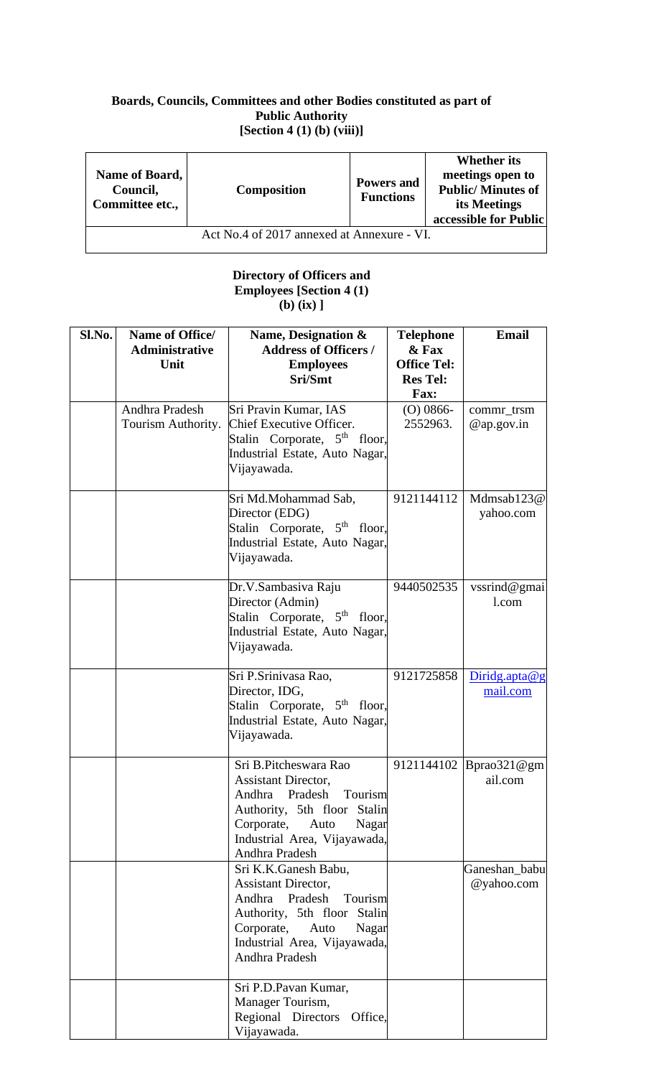### **Boards, Councils, Committees and other Bodies constituted as part of Public Authority [Section 4 (1) (b) (viii)]**

| Name of Board,<br>Council,<br>Committee etc., | <b>Composition</b> | <b>Powers and</b><br><b>Functions</b> | <b>Whether its</b><br>meetings open to<br><b>Public/Minutes of</b><br>its Meetings<br>accessible for Public |  |  |  |
|-----------------------------------------------|--------------------|---------------------------------------|-------------------------------------------------------------------------------------------------------------|--|--|--|
| Act No.4 of 2017 annexed at Annexure - VI.    |                    |                                       |                                                                                                             |  |  |  |

#### **Directory of Officers and Employees [Section 4 (1) (b) (ix) ]**

| Sl.No. | Name of Office/       | Name, Designation &                                        | <b>Telephone</b>   | <b>Email</b>             |
|--------|-----------------------|------------------------------------------------------------|--------------------|--------------------------|
|        | <b>Administrative</b> | <b>Address of Officers /</b>                               | & Fax              |                          |
|        | Unit                  | <b>Employees</b>                                           | <b>Office Tel:</b> |                          |
|        |                       | Sri/Smt                                                    | <b>Res Tel:</b>    |                          |
|        |                       |                                                            | Fax:               |                          |
|        | Andhra Pradesh        | Sri Pravin Kumar, IAS                                      | $(O)$ 0866-        | commr_trsm               |
|        | Tourism Authority.    | Chief Executive Officer.                                   | 2552963.           | $@$ ap.gov.in            |
|        |                       | Stalin Corporate, 5 <sup>th</sup> floor,                   |                    |                          |
|        |                       | Industrial Estate, Auto Nagar,                             |                    |                          |
|        |                       | Vijayawada.                                                |                    |                          |
|        |                       |                                                            |                    |                          |
|        |                       | Sri Md.Mohammad Sab,                                       | 9121144112         | Mdmsab123@               |
|        |                       | Director (EDG)<br>Stalin Corporate, 5 <sup>th</sup> floor, |                    | yahoo.com                |
|        |                       | Industrial Estate, Auto Nagar,                             |                    |                          |
|        |                       | Vijayawada.                                                |                    |                          |
|        |                       |                                                            |                    |                          |
|        |                       | Dr.V.Sambasiva Raju                                        | 9440502535         | vssrind@gmai             |
|        |                       | Director (Admin)                                           |                    | 1.com                    |
|        |                       | Stalin Corporate, 5 <sup>th</sup> floor,                   |                    |                          |
|        |                       | Industrial Estate, Auto Nagar,                             |                    |                          |
|        |                       | Vijayawada.                                                |                    |                          |
|        |                       |                                                            |                    |                          |
|        |                       | Sri P.Srinivasa Rao,                                       | 9121725858         | Diridg.apta@g            |
|        |                       | Director, IDG,                                             |                    | mail.com                 |
|        |                       | Stalin Corporate, 5 <sup>th</sup> floor,                   |                    |                          |
|        |                       | Industrial Estate, Auto Nagar,                             |                    |                          |
|        |                       | Vijayawada.                                                |                    |                          |
|        |                       | Sri B.Pitcheswara Rao                                      |                    | 9121144102   Bprao321@gm |
|        |                       | <b>Assistant Director,</b>                                 |                    | ail.com                  |
|        |                       | Andhra<br>Pradesh<br>Tourism                               |                    |                          |
|        |                       | Authority, 5th floor Stalin                                |                    |                          |
|        |                       | Corporate,<br>Auto<br>Nagar                                |                    |                          |
|        |                       | Industrial Area, Vijayawada,                               |                    |                          |
|        |                       | Andhra Pradesh                                             |                    |                          |
|        |                       | Sri K.K.Ganesh Babu,                                       |                    | Ganeshan_babu            |
|        |                       | Assistant Director,                                        |                    | @yahoo.com               |
|        |                       | Andhra<br>Pradesh<br>Tourism                               |                    |                          |
|        |                       | Authority, 5th floor Stalin                                |                    |                          |
|        |                       | Corporate,<br>Auto<br>Nagar                                |                    |                          |
|        |                       | Industrial Area, Vijayawada,                               |                    |                          |
|        |                       | Andhra Pradesh                                             |                    |                          |
|        |                       |                                                            |                    |                          |
|        |                       | Sri P.D.Pavan Kumar,                                       |                    |                          |
|        |                       | Manager Tourism,                                           |                    |                          |
|        |                       | Regional Directors<br>Office,                              |                    |                          |
|        |                       | Vijayawada.                                                |                    |                          |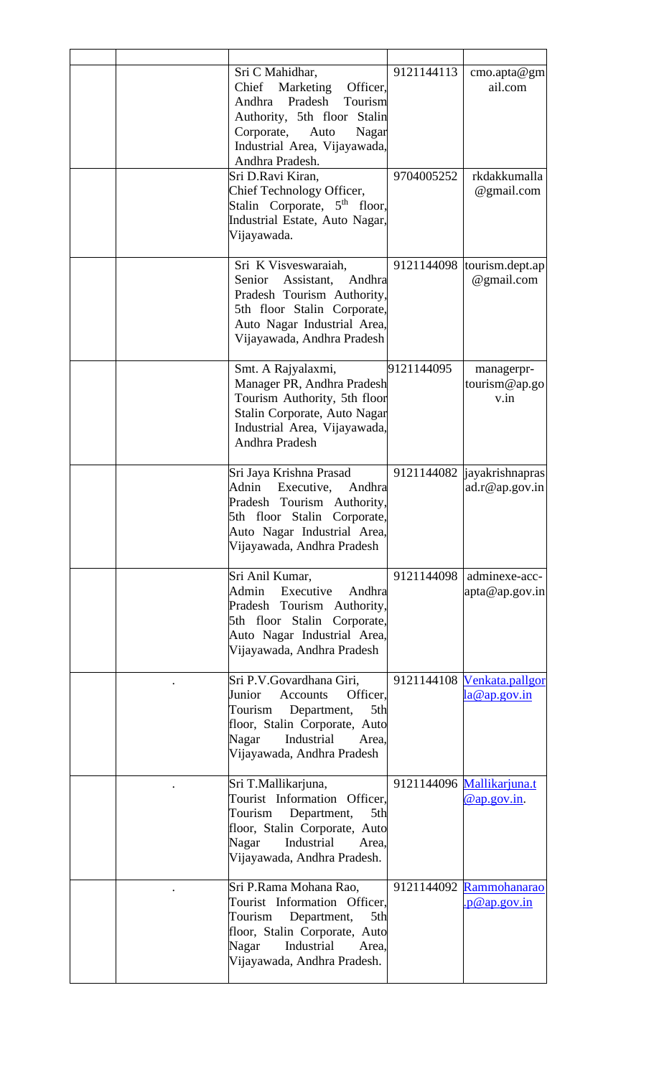|  | Sri C Mahidhar,<br>Chief Marketing Officer,<br>Andhra Pradesh Tourism<br>Authority, 5th floor Stalin<br>Corporate,<br>Auto<br>Nagar<br>Industrial Area, Vijayawada,<br>Andhra Pradesh.<br>Sri D.Ravi Kiran, | 9121144113<br>9704005252 | $\text{cm}$ o.apta@gm<br>ail.com<br>rkdakkumalla  |
|--|-------------------------------------------------------------------------------------------------------------------------------------------------------------------------------------------------------------|--------------------------|---------------------------------------------------|
|  | Chief Technology Officer,<br>Stalin Corporate, 5 <sup>th</sup> floor,<br>Industrial Estate, Auto Nagar,<br>Vijayawada.                                                                                      |                          | @gmail.com                                        |
|  | Sri K Visveswaraiah,<br>Senior Assistant,<br>Andhra<br>Pradesh Tourism Authority,<br>5th floor Stalin Corporate,<br>Auto Nagar Industrial Area,<br>Vijayawada, Andhra Pradesh                               | 9121144098               | tourism.dept.ap<br>@gmail.com                     |
|  | Smt. A Rajyalaxmi,<br>Manager PR, Andhra Pradesh<br>Tourism Authority, 5th floor<br>Stalin Corporate, Auto Nagar<br>Industrial Area, Vijayawada,<br>Andhra Pradesh                                          | 9121144095               | managerpr-<br>tourism@ap.go<br>v.in               |
|  | Sri Jaya Krishna Prasad<br>Executive,<br>Adnin<br>Andhra<br>Pradesh Tourism Authority,<br>5th floor Stalin Corporate,<br>Auto Nagar Industrial Area,<br>Vijayawada, Andhra Pradesh                          |                          | 9121144082   jayakrishnapras<br>ad.r@ap.gov.in    |
|  | Sri Anil Kumar,<br>Admin<br>Executive<br>Andhra<br>Pradesh Tourism Authority,<br>5th floor Stalin Corporate,<br>Auto Nagar Industrial Area,<br>Vijayawada, Andhra Pradesh                                   | 9121144098               | adminexe-acc-<br>apta@ap.gov.in                   |
|  | Sri P.V.Govardhana Giri,<br>Junior<br><b>Accounts</b><br>Officer.<br>Tourism<br>Department,<br>5th<br>floor, Stalin Corporate, Auto<br>Nagar<br>Industrial<br>Area.<br>Vijayawada, Andhra Pradesh           |                          | 9121144108 Venkata.pallgor<br><u>la@ap.gov.in</u> |
|  | Sri T.Mallikarjuna,<br>Tourist Information Officer,<br>Tourism<br>Department,<br>5th<br>floor, Stalin Corporate, Auto<br>Industrial<br>Nagar<br>Area.<br>Vijayawada, Andhra Pradesh.                        |                          | 9121144096 Mallikarjuna.t<br>@ap.gov.in.          |
|  | Sri P.Rama Mohana Rao,<br>Tourist Information Officer,<br>Tourism<br>Department,<br>5th<br>floor, Stalin Corporate, Auto<br>Nagar<br>Industrial<br>Area,<br>Vijayawada, Andhra Pradesh.                     |                          | 9121144092 Rammohanarao<br>p@ap.gov.in            |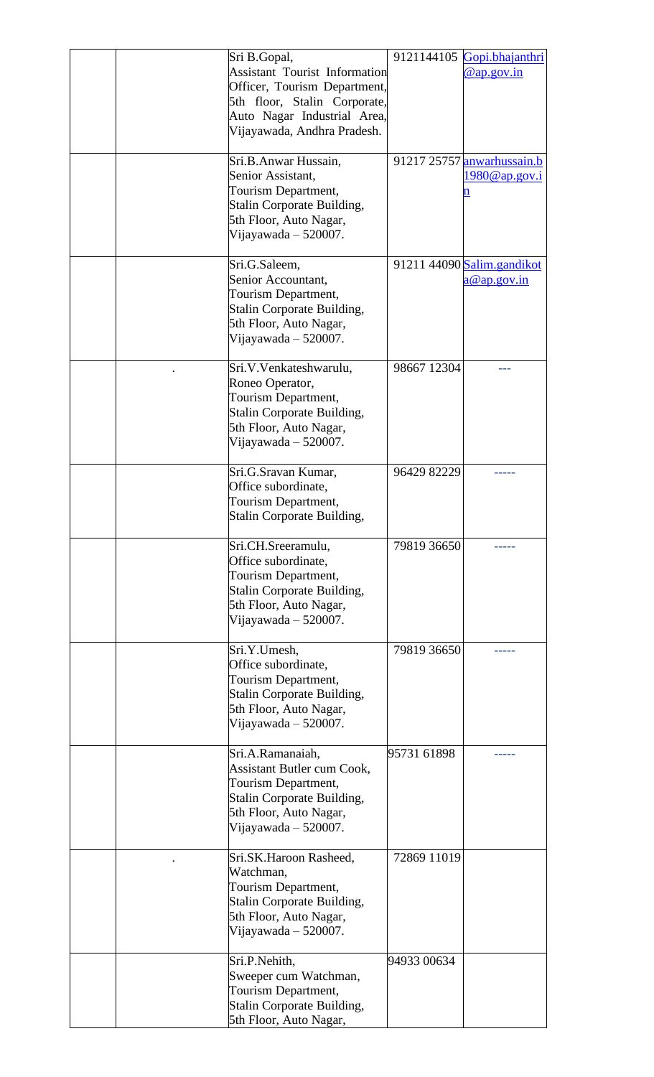|  | Sri B.Gopal,<br><b>Assistant Tourist Information</b><br>Officer, Tourism Department,<br>5th floor, Stalin Corporate,<br>Auto Nagar Industrial Area,<br>Vijayawada, Andhra Pradesh. |             | 9121144105 Gopi.bhajanthri<br>@ap.gov.in         |
|--|------------------------------------------------------------------------------------------------------------------------------------------------------------------------------------|-------------|--------------------------------------------------|
|  | Sri.B.Anwar Hussain,<br>Senior Assistant,<br>Tourism Department,<br>Stalin Corporate Building,<br>5th Floor, Auto Nagar,<br>Vijayawada $-520007$ .                                 |             | 91217 25757 anwarhussain.b<br>1980@ap.gov.i<br>n |
|  | Sri.G.Saleem,<br>Senior Accountant,<br>Tourism Department,<br>Stalin Corporate Building,<br>5th Floor, Auto Nagar,<br>Vijayawada $-520007$ .                                       |             | 91211 44090 Salim.gandikot<br>a@ap.gov.in        |
|  | Sri.V.Venkateshwarulu,<br>Roneo Operator,<br>Tourism Department,<br>Stalin Corporate Building,<br>5th Floor, Auto Nagar,<br>Vijayawada $-520007$ .                                 | 98667 12304 |                                                  |
|  | Sri.G.Sravan Kumar,<br>Office subordinate,<br>Tourism Department,<br>Stalin Corporate Building,                                                                                    | 96429 82229 |                                                  |
|  | Sri.CH.Sreeramulu,<br>Office subordinate,<br>Tourism Department,<br><b>Stalin Corporate Building,</b><br>5th Floor, Auto Nagar,<br>Vijayawada – 520007.                            | 79819 36650 |                                                  |
|  | Sri.Y.Umesh,<br>Office subordinate,<br>Tourism Department,<br>Stalin Corporate Building,<br>5th Floor, Auto Nagar,<br>Vijayawada – 520007.                                         | 79819 36650 |                                                  |
|  | Sri.A.Ramanaiah,<br><b>Assistant Butler cum Cook,</b><br>Tourism Department,<br>Stalin Corporate Building,<br>5th Floor, Auto Nagar,<br>Vijayawada $-520007$ .                     | 95731 61898 |                                                  |
|  | Sri.SK.Haroon Rasheed,<br>Watchman,<br>Tourism Department,<br>Stalin Corporate Building,<br>5th Floor, Auto Nagar,<br>Vijayawada – 520007.                                         | 72869 11019 |                                                  |
|  | Sri.P.Nehith,<br>Sweeper cum Watchman,<br>Tourism Department,<br>Stalin Corporate Building,<br>5th Floor, Auto Nagar,                                                              | 94933 00634 |                                                  |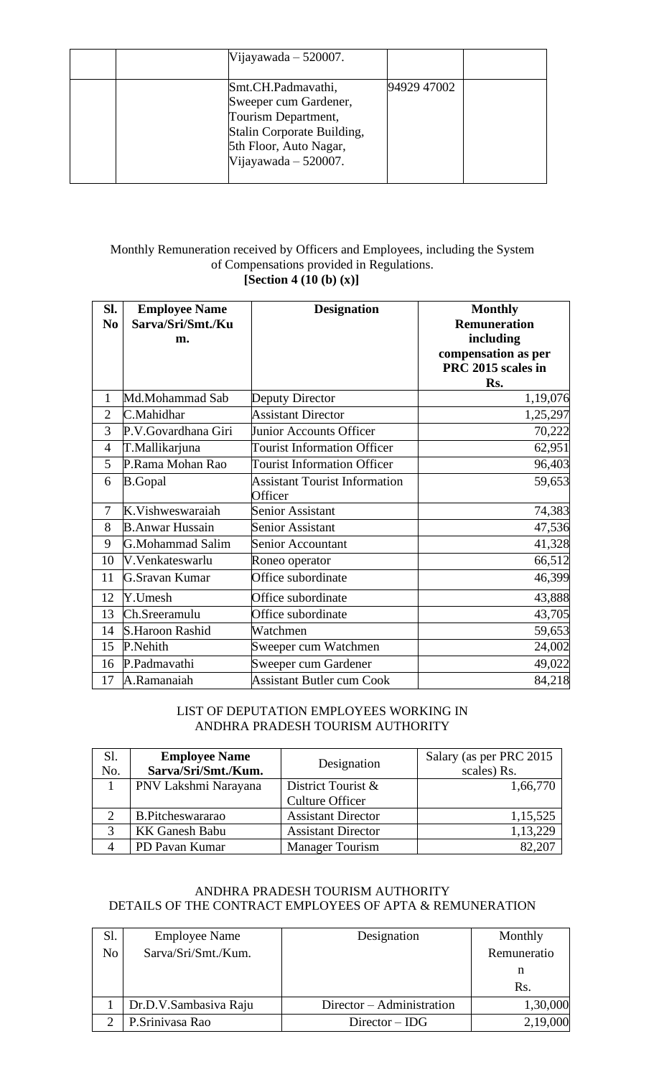| Vijayawada $-520007$ .                                                                                                                               |             |  |
|------------------------------------------------------------------------------------------------------------------------------------------------------|-------------|--|
| Smt.CH.Padmavathi,<br>Sweeper cum Gardener,<br>Tourism Department,<br>Stalin Corporate Building,<br>5th Floor, Auto Nagar,<br>Vijayawada $-520007$ . | 94929 47002 |  |

### Monthly Remuneration received by Officers and Employees, including the System of Compensations provided in Regulations. **[Section 4 (10 (b) (x)]**

| SI.<br>N <sub>0</sub> | <b>Employee Name</b><br>Sarva/Sri/Smt./Ku | <b>Designation</b>                   | <b>Monthly</b><br><b>Remuneration</b>                  |
|-----------------------|-------------------------------------------|--------------------------------------|--------------------------------------------------------|
|                       | m.                                        |                                      | including<br>compensation as per<br>PRC 2015 scales in |
|                       |                                           |                                      | Rs.                                                    |
| 1                     | Md.Mohammad Sab                           | Deputy Director                      | 1,19,076                                               |
| $\overline{2}$        | C.Mahidhar                                | <b>Assistant Director</b>            | 1,25,297                                               |
| 3                     | P.V.Govardhana Giri                       | Junior Accounts Officer              | 70,222                                                 |
| $\overline{4}$        | T.Mallikarjuna                            | <b>Tourist Information Officer</b>   | 62,951                                                 |
| 5                     | P.Rama Mohan Rao                          | <b>Tourist Information Officer</b>   | 96,403                                                 |
| 6                     | <b>B.Gopal</b>                            | <b>Assistant Tourist Information</b> | 59,653                                                 |
|                       |                                           | Officer                              |                                                        |
| 7                     | K.Vishweswaraiah                          | Senior Assistant                     | 74,383                                                 |
| 8                     | <b>B.Anwar Hussain</b>                    | Senior Assistant                     | 47,536                                                 |
| 9                     | G.Mohammad Salim                          | Senior Accountant                    | 41,328                                                 |
| 10                    | V.Venkateswarlu                           | Roneo operator                       | 66,512                                                 |
| 11                    | G.Sravan Kumar                            | Office subordinate                   | 46,399                                                 |
| 12                    | Y.Umesh                                   | Office subordinate                   | 43,888                                                 |
| 13                    | Ch.Sreeramulu                             | Office subordinate                   | 43,705                                                 |
| 14                    | <b>S.Haroon Rashid</b>                    | Watchmen                             | 59,653                                                 |
| 15                    | P.Nehith                                  | Sweeper cum Watchmen                 | 24,002                                                 |
| 16                    | P.Padmavathi                              | Sweeper cum Gardener                 | 49,022                                                 |
| 17                    | A.Ramanaiah                               | <b>Assistant Butler cum Cook</b>     | 84,218                                                 |

### LIST OF DEPUTATION EMPLOYEES WORKING IN ANDHRA PRADESH TOURISM AUTHORITY

| Sl.<br>No.    | <b>Employee Name</b><br>Sarva/Sri/Smt./Kum. | Designation               | Salary (as per PRC 2015<br>scales) Rs. |
|---------------|---------------------------------------------|---------------------------|----------------------------------------|
|               | PNV Lakshmi Narayana                        | District Tourist &        | 1,66,770                               |
|               |                                             | <b>Culture Officer</b>    |                                        |
| $\mathcal{D}$ | B.Pitcheswararao                            | <b>Assistant Director</b> | 1,15,525                               |
| 3             | <b>KK Ganesh Babu</b>                       | <b>Assistant Director</b> | 1,13,229                               |
|               | PD Pavan Kumar                              | <b>Manager Tourism</b>    |                                        |

## ANDHRA PRADESH TOURISM AUTHORITY DETAILS OF THE CONTRACT EMPLOYEES OF APTA & REMUNERATION

| Sl.            | <b>Employee Name</b>  | Designation               | Monthly     |
|----------------|-----------------------|---------------------------|-------------|
| N <sub>o</sub> | Sarva/Sri/Smt./Kum.   |                           | Remuneratio |
|                |                       |                           |             |
|                |                       |                           | Rs.         |
|                | Dr.D.V.Sambasiva Raju | Director – Administration | 1,30,000    |
|                | P.Srinivasa Rao       | $Directory - IDG$         | 2,19,000    |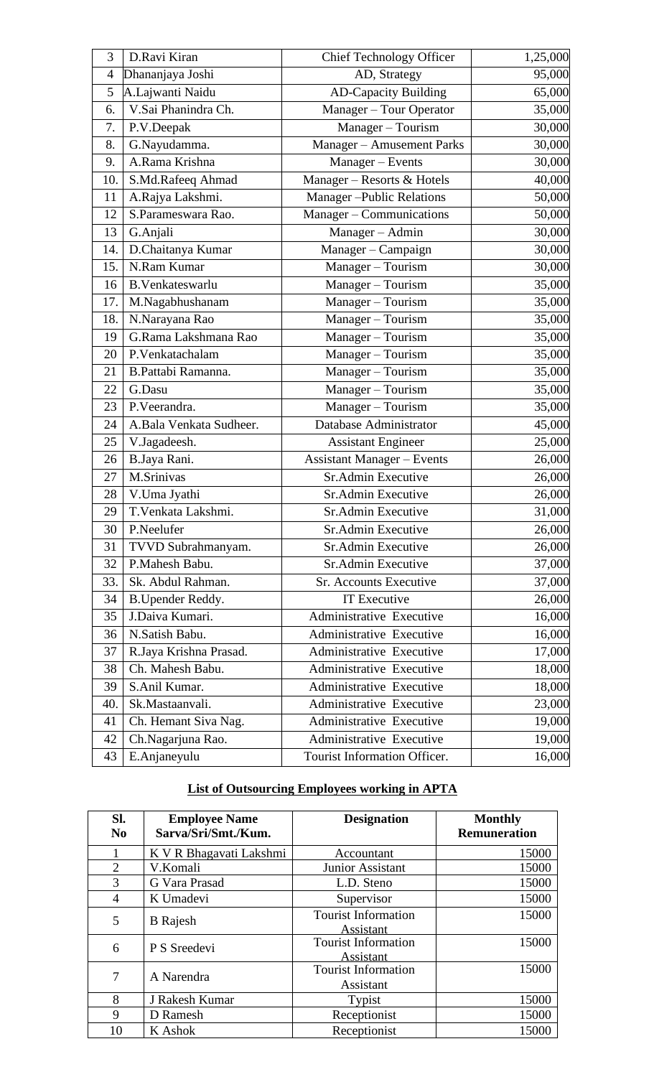| 3   | D.Ravi Kiran            | <b>Chief Technology Officer</b>   | 1,25,000 |
|-----|-------------------------|-----------------------------------|----------|
| 4   | Dhananjaya Joshi        | AD, Strategy                      | 95,000   |
| 5   | A.Lajwanti Naidu        | <b>AD-Capacity Building</b>       | 65,000   |
| 6.  | V.Sai Phanindra Ch.     | Manager - Tour Operator           | 35,000   |
| 7.  | P.V.Deepak              | Manager - Tourism                 | 30,000   |
| 8.  | G.Nayudamma.            | Manager - Amusement Parks         | 30,000   |
| 9.  | A.Rama Krishna          | Manager - Events                  | 30,000   |
| 10. | S.Md.Rafeeq Ahmad       | Manager - Resorts & Hotels        | 40,000   |
| 11  | A.Rajya Lakshmi.        | <b>Manager-Public Relations</b>   | 50,000   |
| 12  | S.Parameswara Rao.      | Manager - Communications          | 50,000   |
| 13  | G.Anjali                | Manager - Admin                   | 30,000   |
| 14. | D.Chaitanya Kumar       | Manager - Campaign                | 30,000   |
| 15. | N.Ram Kumar             | Manager - Tourism                 | 30,000   |
| 16  | <b>B.Venkateswarlu</b>  | Manager - Tourism                 | 35,000   |
| 17. | M.Nagabhushanam         | Manager - Tourism                 | 35,000   |
| 18. | N.Narayana Rao          | Manager - Tourism                 | 35,000   |
| 19  | G.Rama Lakshmana Rao    | Manager - Tourism                 | 35,000   |
| 20  | P.Venkatachalam         | Manager - Tourism                 | 35,000   |
| 21  | B.Pattabi Ramanna.      | Manager - Tourism                 | 35,000   |
| 22  | G.Dasu                  | Manager - Tourism                 | 35,000   |
| 23  | P.Veerandra.            | Manager - Tourism                 | 35,000   |
| 24  | A.Bala Venkata Sudheer. | Database Administrator            | 45,000   |
| 25  | V.Jagadeesh.            | <b>Assistant Engineer</b>         | 25,000   |
| 26  | B.Jaya Rani.            | <b>Assistant Manager - Events</b> | 26,000   |
| 27  | M.Srinivas              | Sr.Admin Executive                | 26,000   |
| 28  | V.Uma Jyathi            | Sr.Admin Executive                | 26,000   |
| 29  | T.Venkata Lakshmi.      | Sr.Admin Executive                | 31,000   |
| 30  | P.Neelufer              | Sr.Admin Executive                | 26,000   |
| 31  | TVVD Subrahmanyam.      | Sr.Admin Executive                | 26,000   |
| 32  | P.Mahesh Babu.          | Sr.Admin Executive                | 37,000   |
| 33. | Sk. Abdul Rahman.       | <b>Sr. Accounts Executive</b>     | 37,000   |
| 34  | <b>B.Upender Reddy.</b> | <b>IT Executive</b>               | 26,000   |
| 35  | J.Daiva Kumari.         | Administrative Executive          | 16,000   |
| 36  | N.Satish Babu.          | Administrative Executive          | 16,000   |
| 37  | R.Jaya Krishna Prasad.  | Administrative Executive          | 17,000   |
| 38  | Ch. Mahesh Babu.        | Administrative Executive          | 18,000   |
| 39  | S.Anil Kumar.           | Administrative Executive          | 18,000   |
| 40. | Sk.Mastaanvali.         | Administrative Executive          | 23,000   |
| 41  | Ch. Hemant Siva Nag.    | Administrative Executive          | 19,000   |
| 42  | Ch.Nagarjuna Rao.       | Administrative Executive          | 19,000   |
| 43  | E.Anjaneyulu            | Tourist Information Officer.      | 16,000   |

# **List of Outsourcing Employees working in APTA**

| SI.<br>N <sub>0</sub> | <b>Employee Name</b><br>Sarva/Sri/Smt./Kum. | <b>Designation</b>                             | <b>Monthly</b><br><b>Remuneration</b> |
|-----------------------|---------------------------------------------|------------------------------------------------|---------------------------------------|
|                       | K V R Bhagavati Lakshmi                     | Accountant                                     | 15000                                 |
| $\overline{2}$        | V.Komali                                    | Junior Assistant                               | 15000                                 |
| 3                     | G Vara Prasad                               | L.D. Steno                                     | 15000                                 |
| 4                     | K Umadevi                                   | Supervisor                                     | 15000                                 |
| 5                     | <b>B</b> Rajesh                             | <b>Tourist Information</b><br><b>Assistant</b> | 15000                                 |
| 6                     | P S Sreedevi                                | <b>Tourist Information</b><br>Assistant        | 15000                                 |
| 7                     | A Narendra                                  | <b>Tourist Information</b><br>Assistant        | 15000                                 |
| 8                     | J Rakesh Kumar                              | Typist                                         | 15000                                 |
| 9                     | D Ramesh                                    | Receptionist                                   | 15000                                 |
| 10                    | K Ashok                                     | Receptionist                                   | 15000                                 |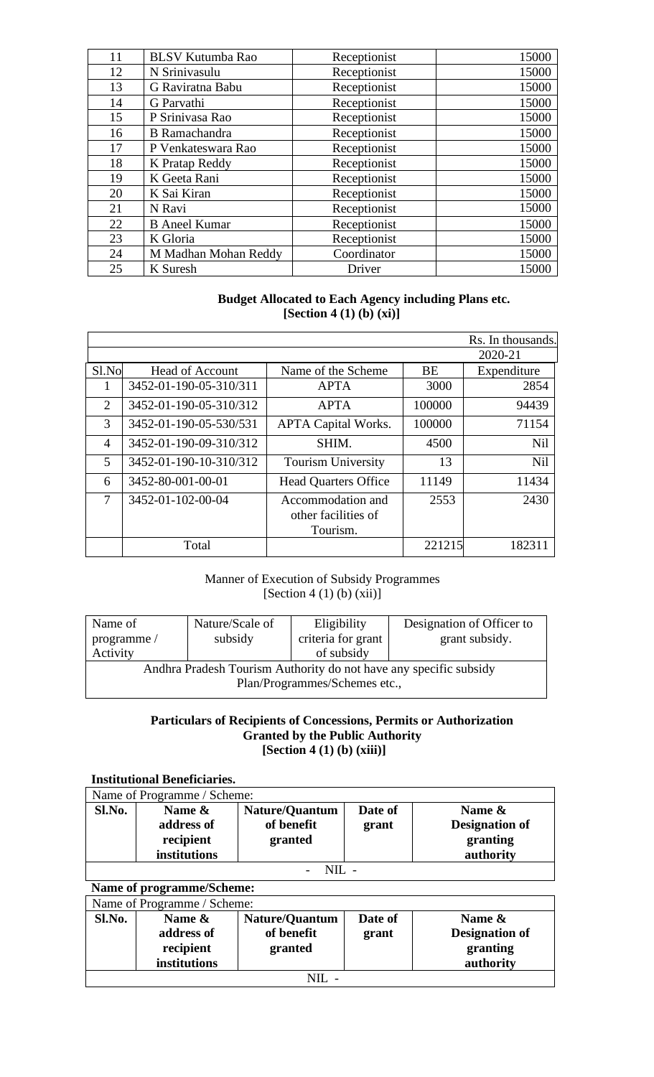| 11 | <b>BLSV Kutumba Rao</b> | Receptionist | 15000 |
|----|-------------------------|--------------|-------|
| 12 | N Srinivasulu           | Receptionist | 15000 |
| 13 | G Raviratna Babu        | Receptionist | 15000 |
| 14 | G Parvathi              | Receptionist | 15000 |
| 15 | P Srinivasa Rao         | Receptionist | 15000 |
| 16 | <b>B</b> Ramachandra    | Receptionist | 15000 |
| 17 | P Venkateswara Rao      | Receptionist | 15000 |
| 18 | K Pratap Reddy          | Receptionist | 15000 |
| 19 | K Geeta Rani            | Receptionist | 15000 |
| 20 | K Sai Kiran             | Receptionist | 15000 |
| 21 | N Ravi                  | Receptionist | 15000 |
| 22 | <b>B</b> Aneel Kumar    | Receptionist | 15000 |
| 23 | K Gloria                | Receptionist | 15000 |
| 24 | M Madhan Mohan Reddy    | Coordinator  | 15000 |
| 25 | K Suresh                | Driver       | 15000 |

### **Budget Allocated to Each Agency including Plans etc. [Section 4 (1) (b) (xi)]**

|                |                        |                             |        | Rs. In thousands. |
|----------------|------------------------|-----------------------------|--------|-------------------|
|                |                        |                             |        | 2020-21           |
| Sl.No          | <b>Head of Account</b> | Name of the Scheme          | BE     | Expenditure       |
|                | 3452-01-190-05-310/311 | <b>APTA</b>                 | 3000   | 2854              |
| 2              | 3452-01-190-05-310/312 | <b>APTA</b>                 | 100000 | 94439             |
| 3              | 3452-01-190-05-530/531 | <b>APTA Capital Works.</b>  | 100000 | 71154             |
| $\overline{4}$ | 3452-01-190-09-310/312 | SHIM.                       | 4500   | <b>Nil</b>        |
| 5              | 3452-01-190-10-310/312 | <b>Tourism University</b>   | 13     | <b>Nil</b>        |
| 6              | 3452-80-001-00-01      | <b>Head Quarters Office</b> | 11149  | 11434             |
| 7              | 3452-01-102-00-04      | Accommodation and           | 2553   | 2430              |
|                |                        | other facilities of         |        |                   |
|                |                        | Tourism.                    |        |                   |
|                | Total                  |                             | 221215 | 182311            |

### Manner of Execution of Subsidy Programmes  $[Section 4 (1) (b) (xii)]$

| Name of<br>programme/                                             | Nature/Scale of<br>subsidy | Eligibility<br>criteria for grant | Designation of Officer to<br>grant subsidy. |  |  |
|-------------------------------------------------------------------|----------------------------|-----------------------------------|---------------------------------------------|--|--|
| Activity                                                          |                            | of subsidy                        |                                             |  |  |
| Andhra Pradesh Tourism Authority do not have any specific subsidy |                            |                                   |                                             |  |  |
| Plan/Programmes/Schemes etc.,                                     |                            |                                   |                                             |  |  |

#### **Particulars of Recipients of Concessions, Permits or Authorization Granted by the Public Authority [Section 4 (1) (b) (xiii)]**

### **Institutional Beneficiaries.**

| Name of Programme / Scheme: |                                   |                                                |                  |                                                |  |  |
|-----------------------------|-----------------------------------|------------------------------------------------|------------------|------------------------------------------------|--|--|
| Sl.No.                      | Name &<br>address of<br>recipient | <b>Nature/Quantum</b><br>of benefit<br>granted | Date of<br>grant | Name $\&$<br><b>Designation of</b><br>granting |  |  |
|                             | institutions                      |                                                |                  | authority                                      |  |  |
|                             |                                   |                                                |                  |                                                |  |  |

# **Name of programme/Scheme:** Name of Programme / Scheme:

| Sl.No. | Name &<br>address of<br>recipient<br>institutions | <b>Nature/Quantum</b><br>of benefit<br>granted | Date of<br>grant | Name $\&$<br><b>Designation of</b><br>granting<br>authority |  |
|--------|---------------------------------------------------|------------------------------------------------|------------------|-------------------------------------------------------------|--|
|        |                                                   |                                                |                  |                                                             |  |
| NII    |                                                   |                                                |                  |                                                             |  |

ן